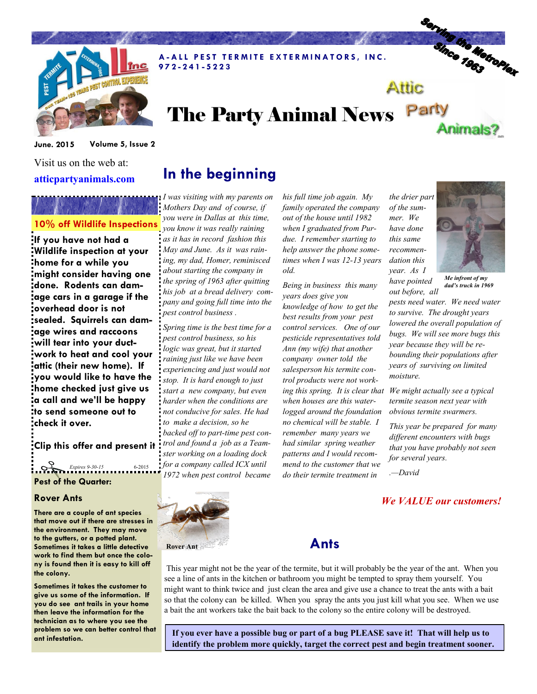

# The Party Animal News Party Animals?

**A - A L L P E S T T E R M I T E E X T E R M I N A T O R S , I N C .**

**June. 2015 Volume 5, Issue 2**

Visit us on the web at: **atticpartyanimals.com**

## **10% off Wildlife Inspections**

**If you have not had a Wildlife inspection at your home for a while you might consider having one done. Rodents can damage cars in a garage if the overhead door is not sealed. Squirrels can damage wires and raccoons will tear into your ductwork to heat and cool your attic (their new home). If you would like to have the home checked just give us a call and we'll be happy to send someone out to check it over.** 

**Clip this offer and present it** 

**Pest of the Quarter:** *Expires 9-30-15* 6-2015

#### **Rover Ants**

**There are a couple of ant species that move out if there are stresses in the environment. They may move to the gutters, or a potted plant. Sometimes it takes a little detective work to find them but once the colony is found then it is easy to kill off the colony.** 

**Sometimes it takes the customer to give us some of the information. If you do see ant trails in your home then leave the information for the technician as to where you see the problem so we can better control that ant infestation.** 

## **In the beginning**

**972 - 241 - 5223**

*I was visiting with my parents on Mothers Day and of course, if you were in Dallas at this time, you know it was really raining as it has in record fashion this May and June. As it was raining, my dad, Homer, reminisced about starting the company in the spring of 1963 after quitting his job at a bread delivery company and going full time into the pest control business .* 

*Spring time is the best time for a pest control business, so his logic was great, but it started raining just like we have been experiencing and just would not stop. It is hard enough to just start a new company, but even harder when the conditions are not conducive for sales. He had to make a decision, so he backed off to part-time pest control and found a job as a Teamster working on a loading dock for a company called ICX until 1972 when pest control became*  *his full time job again. My family operated the company out of the house until 1982 when I graduated from Purdue. I remember starting to help answer the phone sometimes when I was 12-13 years old.*

*Being in business this many years does give you knowledge of how to get the best results from your pest control services. One of our pesticide representatives told Ann (my wife) that another company owner told the salesperson his termite control products were not workwhen houses are this waterlogged around the foundation no chemical will be stable. I remember many years we had similar spring weather patterns and I would recommend to the customer that we do their termite treatment in* 

*the drier part* 

Serving the Metropier

*Me infront of my dad's truck in 1969*

*out before, all pests need water. We need water to survive. The drought years lowered the overall population of bugs. We will see more bugs this year because they will be rebounding their populations after years of surviving on limited moisture.* 

*ing this spring. It is clear that We might actually see a typical termite season next year with obvious termite swarmers.* 

> *This year be prepared for many different encounters with bugs that you have probably not seen for several years.*

*.—David*

*of the summer. We have done this same recommendation this year. As I have pointed* 

Attic

### *We VALUE our customers!*

**Rover Ant**

This year might not be the year of the termite, but it will probably be the year of the ant. When you see a line of ants in the kitchen or bathroom you might be tempted to spray them yourself. You might want to think twice and just clean the area and give use a chance to treat the ants with a bait so that the colony can be killed. When you spray the ants you just kill what you see. When we use a bait the ant workers take the bait back to the colony so the entire colony will be destroyed.

**If you ever have a possible bug or part of a bug PLEASE save it! That will help us to identify the problem more quickly, target the correct pest and begin treatment sooner.**